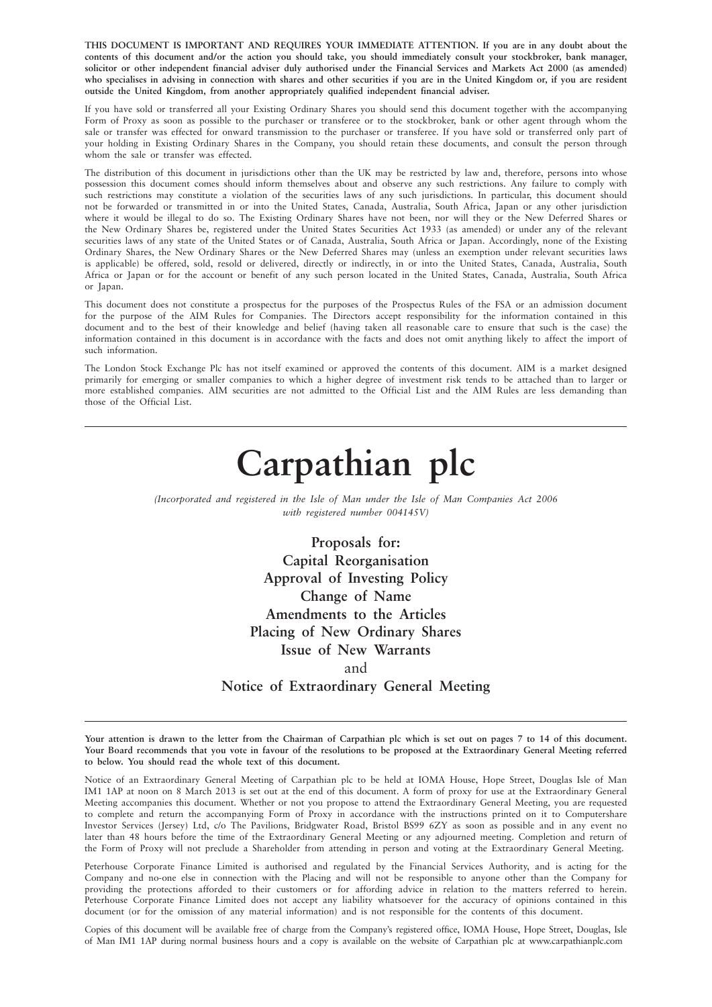**THIS DOCUMENT IS IMPORTANT AND REQUIRES YOUR IMMEDIATE ATTENTION. If you are in any doubt about the contents of this document and/or the action you should take, you should immediately consult your stockbroker, bank manager, solicitor or other independent financial adviser duly authorised under the Financial Services and Markets Act 2000 (as amended) who specialises in advising in connection with shares and other securities if you are in the United Kingdom or, if you are resident outside the United Kingdom, from another appropriately qualified independent financial adviser.**

If you have sold or transferred all your Existing Ordinary Shares you should send this document together with the accompanying Form of Proxy as soon as possible to the purchaser or transferee or to the stockbroker, bank or other agent through whom the sale or transfer was effected for onward transmission to the purchaser or transferee. If you have sold or transferred only part of your holding in Existing Ordinary Shares in the Company, you should retain these documents, and consult the person through whom the sale or transfer was effected.

The distribution of this document in jurisdictions other than the UK may be restricted by law and, therefore, persons into whose possession this document comes should inform themselves about and observe any such restrictions. Any failure to comply with such restrictions may constitute a violation of the securities laws of any such jurisdictions. In particular, this document should not be forwarded or transmitted in or into the United States, Canada, Australia, South Africa, Japan or any other jurisdiction where it would be illegal to do so. The Existing Ordinary Shares have not been, nor will they or the New Deferred Shares or the New Ordinary Shares be, registered under the United States Securities Act 1933 (as amended) or under any of the relevant securities laws of any state of the United States or of Canada, Australia, South Africa or Japan. Accordingly, none of the Existing Ordinary Shares, the New Ordinary Shares or the New Deferred Shares may (unless an exemption under relevant securities laws is applicable) be offered, sold, resold or delivered, directly or indirectly, in or into the United States, Canada, Australia, South Africa or Japan or for the account or benefit of any such person located in the United States, Canada, Australia, South Africa or Japan.

This document does not constitute a prospectus for the purposes of the Prospectus Rules of the FSA or an admission document for the purpose of the AIM Rules for Companies. The Directors accept responsibility for the information contained in this document and to the best of their knowledge and belief (having taken all reasonable care to ensure that such is the case) the information contained in this document is in accordance with the facts and does not omit anything likely to affect the import of such information.

The London Stock Exchange Plc has not itself examined or approved the contents of this document. AIM is a market designed primarily for emerging or smaller companies to which a higher degree of investment risk tends to be attached than to larger or more established companies. AIM securities are not admitted to the Official List and the AIM Rules are less demanding than those of the Official List.

# **Carpathian plc**

*(Incorporated and registered in the Isle of Man under the Isle of Man Companies Act 2006 with registered number 004145V)*

> **Proposals for: Capital Reorganisation Approval of Investing Policy Change of Name Amendments to the Articles Placing of New Ordinary Shares Issue of New Warrants** and **Notice of Extraordinary General Meeting**

**Your attention is drawn to the letter from the Chairman of Carpathian plc which is set out on pages 7 to 14 of this document. Your Board recommends that you vote in favour of the resolutions to be proposed at the Extraordinary General Meeting referred to below. You should read the whole text of this document.**

Notice of an Extraordinary General Meeting of Carpathian plc to be held at IOMA House, Hope Street, Douglas Isle of Man IM1 1AP at noon on 8 March 2013 is set out at the end of this document. A form of proxy for use at the Extraordinary General Meeting accompanies this document. Whether or not you propose to attend the Extraordinary General Meeting, you are requested to complete and return the accompanying Form of Proxy in accordance with the instructions printed on it to Computershare Investor Services (Jersey) Ltd, c/o The Pavilions, Bridgwater Road, Bristol BS99 6ZY as soon as possible and in any event no later than 48 hours before the time of the Extraordinary General Meeting or any adjourned meeting. Completion and return of the Form of Proxy will not preclude a Shareholder from attending in person and voting at the Extraordinary General Meeting.

Peterhouse Corporate Finance Limited is authorised and regulated by the Financial Services Authority, and is acting for the Company and no-one else in connection with the Placing and will not be responsible to anyone other than the Company for providing the protections afforded to their customers or for affording advice in relation to the matters referred to herein. Peterhouse Corporate Finance Limited does not accept any liability whatsoever for the accuracy of opinions contained in this document (or for the omission of any material information) and is not responsible for the contents of this document.

Copies of this document will be available free of charge from the Company's registered office, IOMA House, Hope Street, Douglas, Isle of Man IM1 1AP during normal business hours and a copy is available on the website of Carpathian plc at www.carpathianplc.com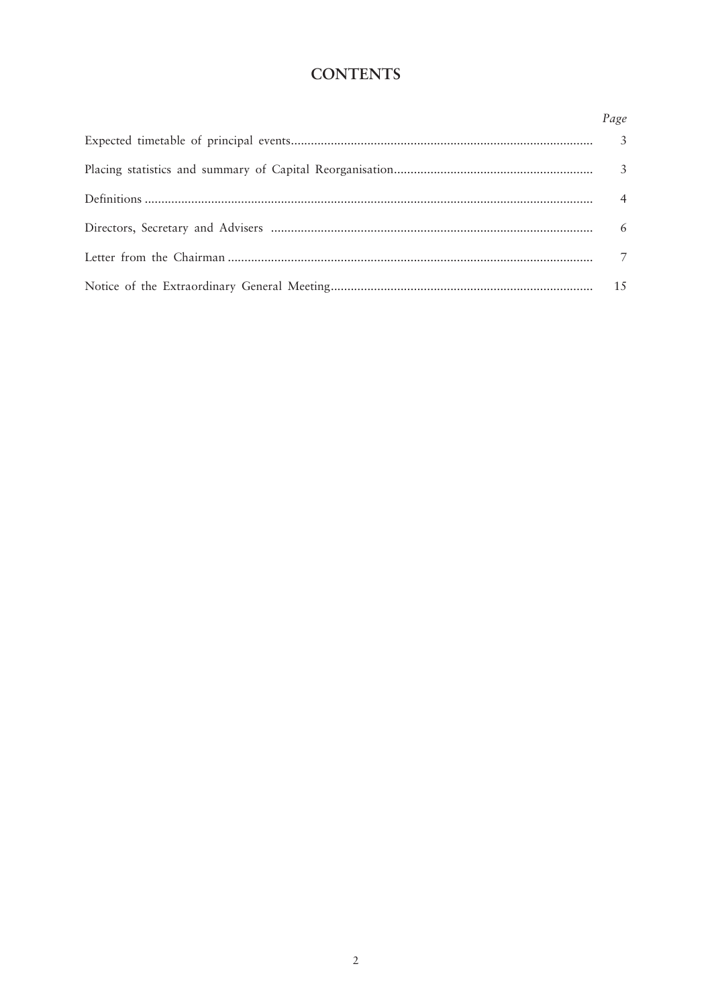## **CONTENTS**

| Page           |
|----------------|
|                |
|                |
| $\overline{4}$ |
| 6              |
|                |
|                |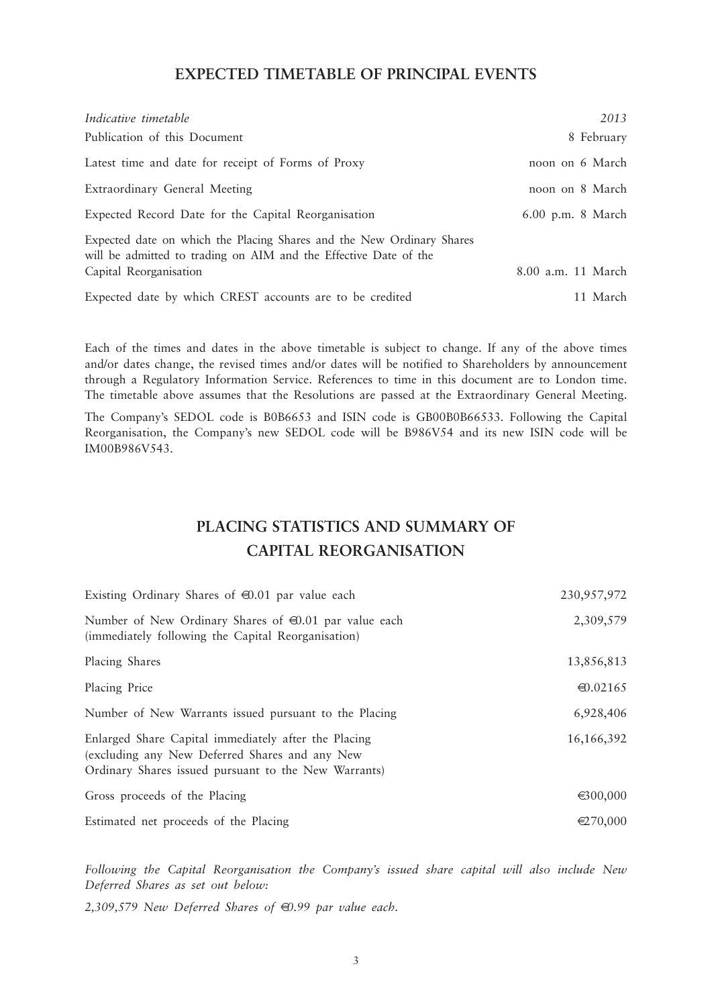### **EXPECTED TIMETABLE OF PRINCIPAL EVENTS**

| Indicative timetable                                                                                                                      | 2013               |
|-------------------------------------------------------------------------------------------------------------------------------------------|--------------------|
| Publication of this Document                                                                                                              | 8 February         |
| Latest time and date for receipt of Forms of Proxy                                                                                        | noon on 6 March    |
| Extraordinary General Meeting                                                                                                             | noon on 8 March    |
| Expected Record Date for the Capital Reorganisation                                                                                       | 6.00 p.m. 8 March  |
| Expected date on which the Placing Shares and the New Ordinary Shares<br>will be admitted to trading on AIM and the Effective Date of the |                    |
| Capital Reorganisation                                                                                                                    | 8.00 a.m. 11 March |
| Expected date by which CREST accounts are to be credited                                                                                  | 11 March           |

Each of the times and dates in the above timetable is subject to change. If any of the above times and/or dates change, the revised times and/or dates will be notified to Shareholders by announcement through a Regulatory Information Service. References to time in this document are to London time. The timetable above assumes that the Resolutions are passed at the Extraordinary General Meeting.

The Company's SEDOL code is B0B6653 and ISIN code is GB00B0B66533. Following the Capital Reorganisation, the Company's new SEDOL code will be B986V54 and its new ISIN code will be IM00B986V543.

## **PLACING STATISTICS AND SUMMARY OF CAPITAL REORGANISATION**

| Existing Ordinary Shares of $\bigoplus$ .01 par value each                                                                                                     | 230,957,972        |
|----------------------------------------------------------------------------------------------------------------------------------------------------------------|--------------------|
| Number of New Ordinary Shares of $\oplus$ .01 par value each<br>(immediately following the Capital Reorganisation)                                             | 2,309,579          |
| Placing Shares                                                                                                                                                 | 13,856,813         |
| Placing Price                                                                                                                                                  | $\bigoplus .02165$ |
| Number of New Warrants issued pursuant to the Placing                                                                                                          | 6,928,406          |
| Enlarged Share Capital immediately after the Placing<br>(excluding any New Deferred Shares and any New<br>Ordinary Shares issued pursuant to the New Warrants) | 16,166,392         |
| Gross proceeds of the Placing                                                                                                                                  | $\epsilon$ 300,000 |
| Estimated net proceeds of the Placing                                                                                                                          | $\in 270,000$      |

*Following the Capital Reorganisation the Company's issued share capital will also include New Deferred Shares as set out below:*

*2,309,579 New Deferred Shares of* €*0.99 par value each.*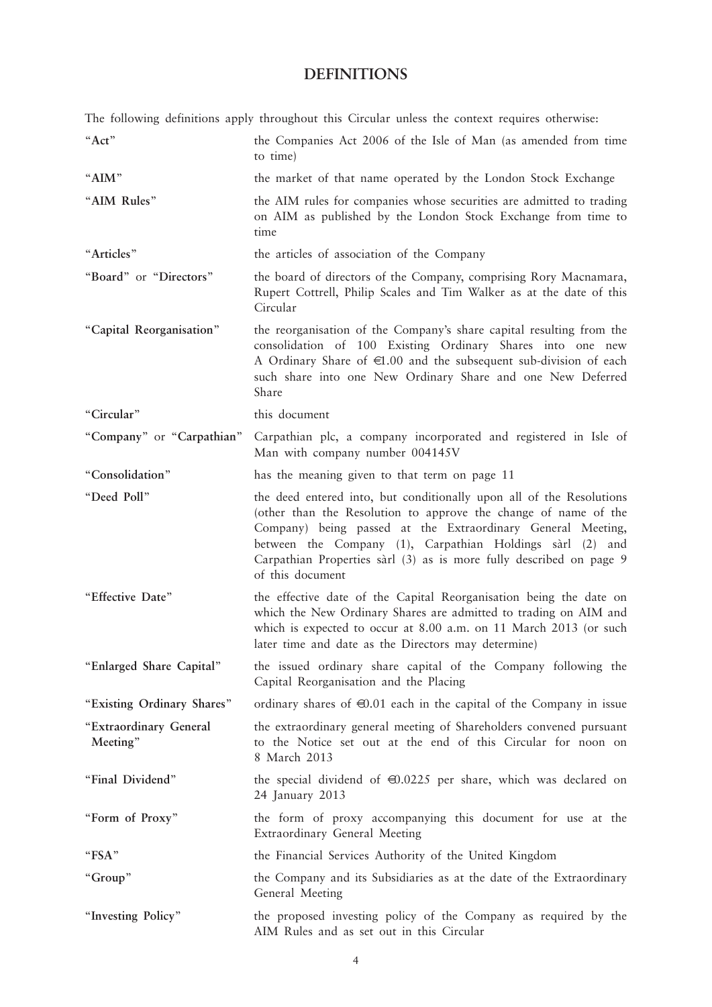## **DEFINITIONS**

The following definitions apply throughout this Circular unless the context requires otherwise:

| "Act"                              | the Companies Act 2006 of the Isle of Man (as amended from time<br>to time)                                                                                                                                                                                                                                                                                    |
|------------------------------------|----------------------------------------------------------------------------------------------------------------------------------------------------------------------------------------------------------------------------------------------------------------------------------------------------------------------------------------------------------------|
| "AIM"                              | the market of that name operated by the London Stock Exchange                                                                                                                                                                                                                                                                                                  |
| "AIM Rules"                        | the AIM rules for companies whose securities are admitted to trading<br>on AIM as published by the London Stock Exchange from time to<br>time                                                                                                                                                                                                                  |
| "Articles"                         | the articles of association of the Company                                                                                                                                                                                                                                                                                                                     |
| "Board" or "Directors"             | the board of directors of the Company, comprising Rory Macnamara,<br>Rupert Cottrell, Philip Scales and Tim Walker as at the date of this<br>Circular                                                                                                                                                                                                          |
| "Capital Reorganisation"           | the reorganisation of the Company's share capital resulting from the<br>consolidation of 100 Existing Ordinary Shares into one new<br>A Ordinary Share of $\in 1.00$ and the subsequent sub-division of each<br>such share into one New Ordinary Share and one New Deferred<br>Share                                                                           |
| "Circular"                         | this document                                                                                                                                                                                                                                                                                                                                                  |
| "Company" or "Carpathian"          | Carpathian plc, a company incorporated and registered in Isle of<br>Man with company number 004145V                                                                                                                                                                                                                                                            |
| "Consolidation"                    | has the meaning given to that term on page 11                                                                                                                                                                                                                                                                                                                  |
| "Deed Poll"                        | the deed entered into, but conditionally upon all of the Resolutions<br>(other than the Resolution to approve the change of name of the<br>Company) being passed at the Extraordinary General Meeting,<br>between the Company (1), Carpathian Holdings sàrl (2) and<br>Carpathian Properties sàrl (3) as is more fully described on page 9<br>of this document |
| "Effective Date"                   | the effective date of the Capital Reorganisation being the date on<br>which the New Ordinary Shares are admitted to trading on AIM and<br>which is expected to occur at 8.00 a.m. on 11 March 2013 (or such<br>later time and date as the Directors may determine)                                                                                             |
| "Enlarged Share Capital"           | the issued ordinary share capital of the Company following the<br>Capital Reorganisation and the Placing                                                                                                                                                                                                                                                       |
| "Existing Ordinary Shares"         | ordinary shares of $\oplus$ .01 each in the capital of the Company in issue                                                                                                                                                                                                                                                                                    |
| "Extraordinary General<br>Meeting" | the extraordinary general meeting of Shareholders convened pursuant<br>to the Notice set out at the end of this Circular for noon on<br>8 March 2013                                                                                                                                                                                                           |
| "Final Dividend"                   | the special dividend of $\bigoplus$ .0225 per share, which was declared on<br>24 January 2013                                                                                                                                                                                                                                                                  |
| "Form of Proxy"                    | the form of proxy accompanying this document for use at the<br>Extraordinary General Meeting                                                                                                                                                                                                                                                                   |
| "FSA"                              | the Financial Services Authority of the United Kingdom                                                                                                                                                                                                                                                                                                         |
| "Group"                            | the Company and its Subsidiaries as at the date of the Extraordinary<br>General Meeting                                                                                                                                                                                                                                                                        |
| "Investing Policy"                 | the proposed investing policy of the Company as required by the<br>AIM Rules and as set out in this Circular                                                                                                                                                                                                                                                   |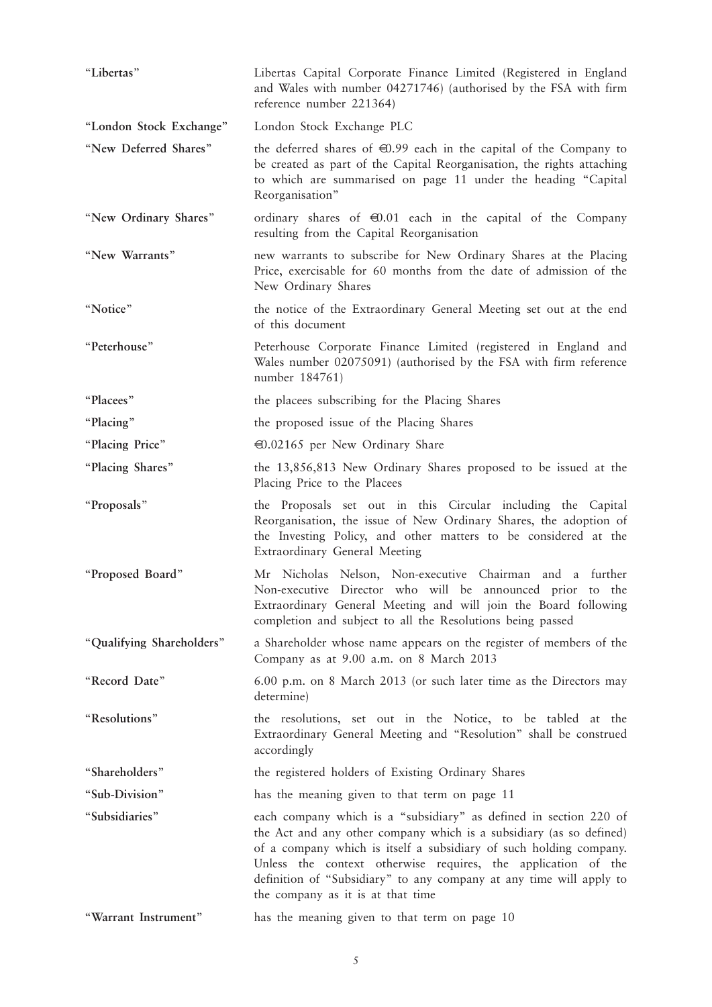| "Libertas"                | Libertas Capital Corporate Finance Limited (Registered in England<br>and Wales with number 04271746) (authorised by the FSA with firm<br>reference number 221364)                                                                                                                                                                                                                           |
|---------------------------|---------------------------------------------------------------------------------------------------------------------------------------------------------------------------------------------------------------------------------------------------------------------------------------------------------------------------------------------------------------------------------------------|
| "London Stock Exchange"   | London Stock Exchange PLC                                                                                                                                                                                                                                                                                                                                                                   |
| "New Deferred Shares"     | the deferred shares of $\bigoplus$ .99 each in the capital of the Company to<br>be created as part of the Capital Reorganisation, the rights attaching<br>to which are summarised on page 11 under the heading "Capital<br>Reorganisation"                                                                                                                                                  |
| "New Ordinary Shares"     | ordinary shares of $\oplus$ .01 each in the capital of the Company<br>resulting from the Capital Reorganisation                                                                                                                                                                                                                                                                             |
| "New Warrants"            | new warrants to subscribe for New Ordinary Shares at the Placing<br>Price, exercisable for 60 months from the date of admission of the<br>New Ordinary Shares                                                                                                                                                                                                                               |
| "Notice"                  | the notice of the Extraordinary General Meeting set out at the end<br>of this document                                                                                                                                                                                                                                                                                                      |
| "Peterhouse"              | Peterhouse Corporate Finance Limited (registered in England and<br>Wales number 02075091) (authorised by the FSA with firm reference<br>number 184761)                                                                                                                                                                                                                                      |
| "Placees"                 | the placees subscribing for the Placing Shares                                                                                                                                                                                                                                                                                                                                              |
| "Placing"                 | the proposed issue of the Placing Shares                                                                                                                                                                                                                                                                                                                                                    |
| "Placing Price"           | $\Theta$ .02165 per New Ordinary Share                                                                                                                                                                                                                                                                                                                                                      |
| "Placing Shares"          | the 13,856,813 New Ordinary Shares proposed to be issued at the<br>Placing Price to the Placees                                                                                                                                                                                                                                                                                             |
|                           |                                                                                                                                                                                                                                                                                                                                                                                             |
| "Proposals"               | the Proposals set out in this Circular including the Capital<br>Reorganisation, the issue of New Ordinary Shares, the adoption of<br>the Investing Policy, and other matters to be considered at the<br>Extraordinary General Meeting                                                                                                                                                       |
| "Proposed Board"          | Mr Nicholas Nelson, Non-executive Chairman and a further<br>Non-executive Director who will be announced prior to the<br>Extraordinary General Meeting and will join the Board following<br>completion and subject to all the Resolutions being passed                                                                                                                                      |
| "Qualifying Shareholders" | a Shareholder whose name appears on the register of members of the<br>Company as at 9.00 a.m. on 8 March 2013                                                                                                                                                                                                                                                                               |
| "Record Date"             | 6.00 p.m. on 8 March 2013 (or such later time as the Directors may<br>determine)                                                                                                                                                                                                                                                                                                            |
| "Resolutions"             | the resolutions, set out in the Notice, to be tabled at the<br>Extraordinary General Meeting and "Resolution" shall be construed<br>accordingly                                                                                                                                                                                                                                             |
| "Shareholders"            | the registered holders of Existing Ordinary Shares                                                                                                                                                                                                                                                                                                                                          |
| "Sub-Division"            | has the meaning given to that term on page 11                                                                                                                                                                                                                                                                                                                                               |
| "Subsidiaries"            | each company which is a "subsidiary" as defined in section 220 of<br>the Act and any other company which is a subsidiary (as so defined)<br>of a company which is itself a subsidiary of such holding company.<br>Unless the context otherwise requires, the application of the<br>definition of "Subsidiary" to any company at any time will apply to<br>the company as it is at that time |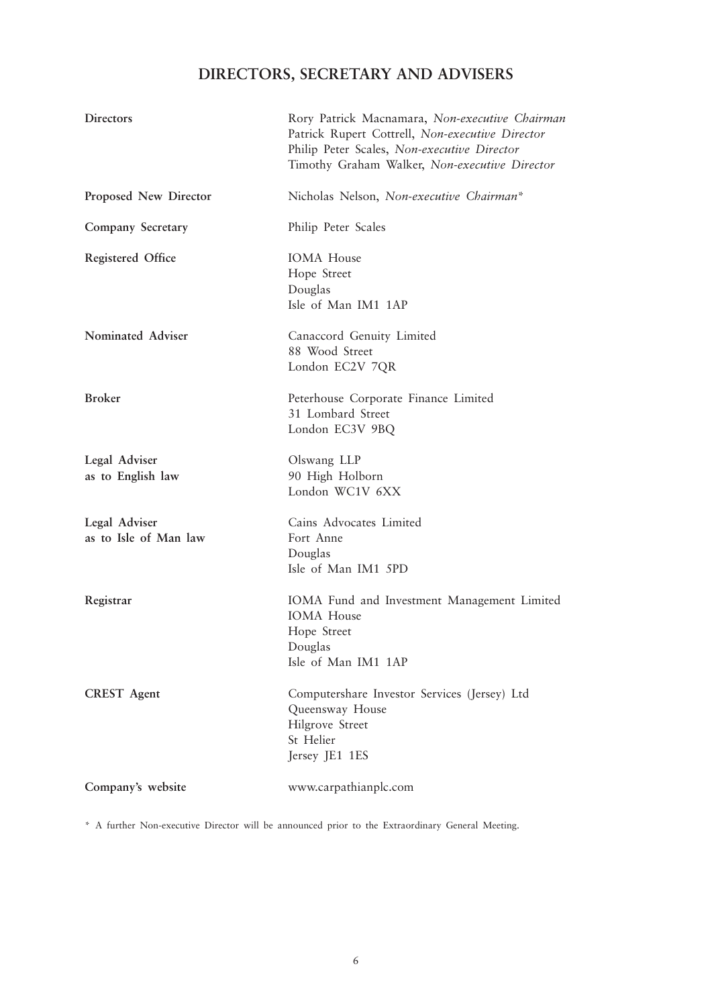## **DIRECTORS, SECRETARY AND ADVISERS**

| <b>Directors</b>                       | Rory Patrick Macnamara, Non-executive Chairman<br>Patrick Rupert Cottrell, Non-executive Director<br>Philip Peter Scales, Non-executive Director<br>Timothy Graham Walker, Non-executive Director |
|----------------------------------------|---------------------------------------------------------------------------------------------------------------------------------------------------------------------------------------------------|
| Proposed New Director                  | Nicholas Nelson, Non-executive Chairman*                                                                                                                                                          |
| Company Secretary                      | Philip Peter Scales                                                                                                                                                                               |
| <b>Registered Office</b>               | <b>IOMA</b> House<br>Hope Street<br>Douglas<br>Isle of Man IM1 1AP                                                                                                                                |
| Nominated Adviser                      | Canaccord Genuity Limited<br>88 Wood Street<br>London EC2V 7QR                                                                                                                                    |
| <b>Broker</b>                          | Peterhouse Corporate Finance Limited<br>31 Lombard Street<br>London EC3V 9BQ                                                                                                                      |
| Legal Adviser<br>as to English law     | Olswang LLP<br>90 High Holborn<br>London WC1V 6XX                                                                                                                                                 |
| Legal Adviser<br>as to Isle of Man law | Cains Advocates Limited<br>Fort Anne<br>Douglas<br>Isle of Man IM1 5PD                                                                                                                            |
| Registrar                              | IOMA Fund and Investment Management Limited<br><b>IOMA</b> House<br>Hope Street<br>Douglas<br>Isle of Man IM1 1AP                                                                                 |
| <b>CREST</b> Agent                     | Computershare Investor Services (Jersey) Ltd<br>Queensway House<br>Hilgrove Street<br>St Helier<br>Jersey JE1 1ES                                                                                 |
| Company's website                      | www.carpathianplc.com                                                                                                                                                                             |

\* A further Non-executive Director will be announced prior to the Extraordinary General Meeting.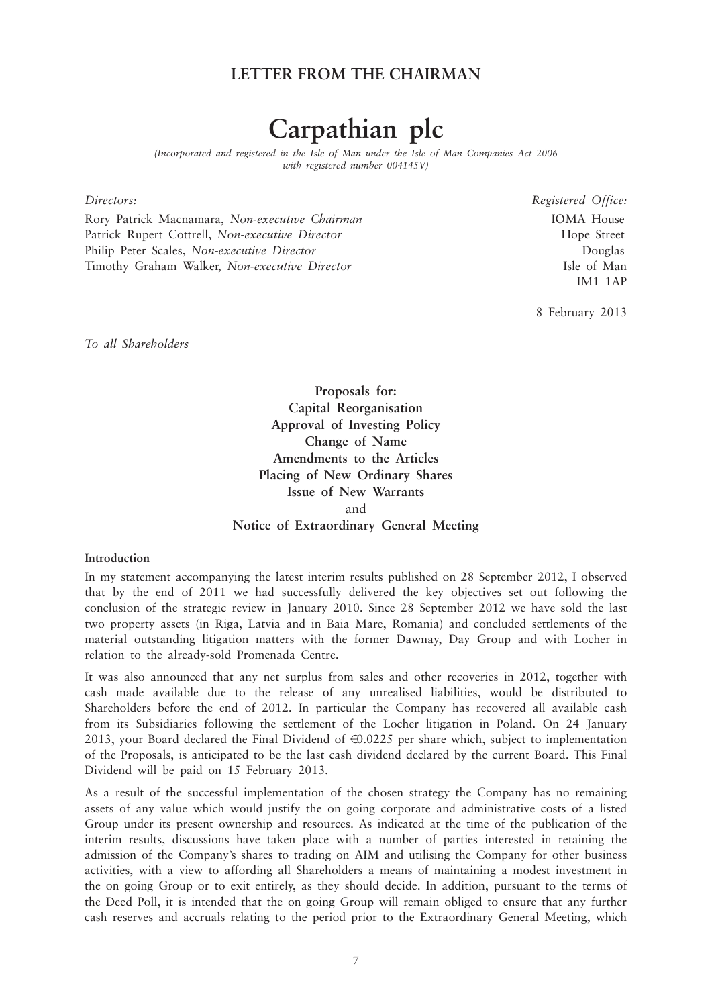## **LETTER FROM THE CHAIRMAN**

## **Carpathian plc**

*(Incorporated and registered in the Isle of Man under the Isle of Man Companies Act 2006 with registered number 004145V)*

Rory Patrick Macnamara, *Non-executive Chairman* Machair Machair and IOMA House Patrick Rupert Cottrell, *Non-executive Director* **Hope Street** Hope Street Philip Peter Scales, *Non-executive Director* Douglas Timothy Graham Walker, *Non-executive Director* Isle of Man

*Directors: Registered Office:* IM1 1AP

8 February 2013

*To all Shareholders*

**Proposals for: Capital Reorganisation Approval of Investing Policy Change of Name Amendments to the Articles Placing of New Ordinary Shares Issue of New Warrants** and **Notice of Extraordinary General Meeting** 

#### **Introduction**

In my statement accompanying the latest interim results published on 28 September 2012, I observed that by the end of 2011 we had successfully delivered the key objectives set out following the conclusion of the strategic review in January 2010. Since 28 September 2012 we have sold the last two property assets (in Riga, Latvia and in Baia Mare, Romania) and concluded settlements of the material outstanding litigation matters with the former Dawnay, Day Group and with Locher in relation to the already-sold Promenada Centre.

It was also announced that any net surplus from sales and other recoveries in 2012, together with cash made available due to the release of any unrealised liabilities, would be distributed to Shareholders before the end of 2012. In particular the Company has recovered all available cash from its Subsidiaries following the settlement of the Locher litigation in Poland. On 24 January 2013, your Board declared the Final Dividend of  $\bigoplus$  0.0225 per share which, subject to implementation of the Proposals, is anticipated to be the last cash dividend declared by the current Board. This Final Dividend will be paid on 15 February 2013.

As a result of the successful implementation of the chosen strategy the Company has no remaining assets of any value which would justify the on going corporate and administrative costs of a listed Group under its present ownership and resources. As indicated at the time of the publication of the interim results, discussions have taken place with a number of parties interested in retaining the admission of the Company's shares to trading on AIM and utilising the Company for other business activities, with a view to affording all Shareholders a means of maintaining a modest investment in the on going Group or to exit entirely, as they should decide. In addition, pursuant to the terms of the Deed Poll, it is intended that the on going Group will remain obliged to ensure that any further cash reserves and accruals relating to the period prior to the Extraordinary General Meeting, which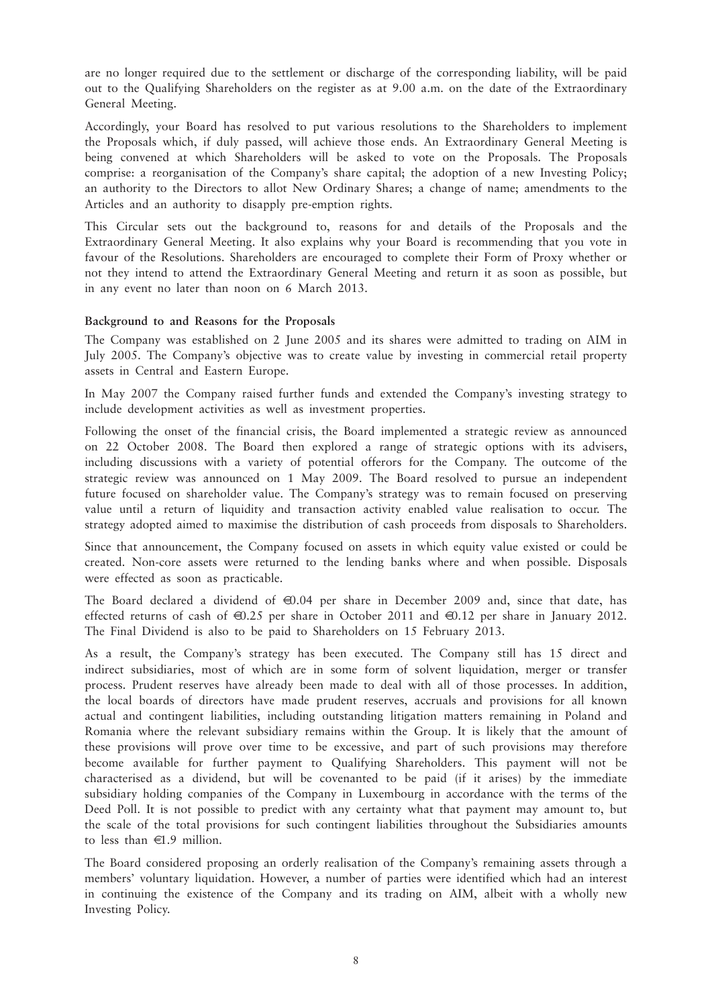are no longer required due to the settlement or discharge of the corresponding liability, will be paid out to the Qualifying Shareholders on the register as at 9.00 a.m. on the date of the Extraordinary General Meeting.

Accordingly, your Board has resolved to put various resolutions to the Shareholders to implement the Proposals which, if duly passed, will achieve those ends. An Extraordinary General Meeting is being convened at which Shareholders will be asked to vote on the Proposals. The Proposals comprise: a reorganisation of the Company's share capital; the adoption of a new Investing Policy; an authority to the Directors to allot New Ordinary Shares; a change of name; amendments to the Articles and an authority to disapply pre-emption rights.

This Circular sets out the background to, reasons for and details of the Proposals and the Extraordinary General Meeting. It also explains why your Board is recommending that you vote in favour of the Resolutions. Shareholders are encouraged to complete their Form of Proxy whether or not they intend to attend the Extraordinary General Meeting and return it as soon as possible, but in any event no later than noon on 6 March 2013.

#### **Background to and Reasons for the Proposals**

The Company was established on 2 June 2005 and its shares were admitted to trading on AIM in July 2005. The Company's objective was to create value by investing in commercial retail property assets in Central and Eastern Europe.

In May 2007 the Company raised further funds and extended the Company's investing strategy to include development activities as well as investment properties.

Following the onset of the financial crisis, the Board implemented a strategic review as announced on 22 October 2008. The Board then explored a range of strategic options with its advisers, including discussions with a variety of potential offerors for the Company. The outcome of the strategic review was announced on 1 May 2009. The Board resolved to pursue an independent future focused on shareholder value. The Company's strategy was to remain focused on preserving value until a return of liquidity and transaction activity enabled value realisation to occur. The strategy adopted aimed to maximise the distribution of cash proceeds from disposals to Shareholders.

Since that announcement, the Company focused on assets in which equity value existed or could be created. Non-core assets were returned to the lending banks where and when possible. Disposals were effected as soon as practicable.

The Board declared a dividend of  $\bigoplus$ , 04 per share in December 2009 and, since that date, has effected returns of cash of  $\bigoplus$ .25 per share in October 2011 and  $\bigoplus$ .12 per share in January 2012. The Final Dividend is also to be paid to Shareholders on 15 February 2013.

As a result, the Company's strategy has been executed. The Company still has 15 direct and indirect subsidiaries, most of which are in some form of solvent liquidation, merger or transfer process. Prudent reserves have already been made to deal with all of those processes. In addition, the local boards of directors have made prudent reserves, accruals and provisions for all known actual and contingent liabilities, including outstanding litigation matters remaining in Poland and Romania where the relevant subsidiary remains within the Group. It is likely that the amount of these provisions will prove over time to be excessive, and part of such provisions may therefore become available for further payment to Qualifying Shareholders. This payment will not be characterised as a dividend, but will be covenanted to be paid (if it arises) by the immediate subsidiary holding companies of the Company in Luxembourg in accordance with the terms of the Deed Poll. It is not possible to predict with any certainty what that payment may amount to, but the scale of the total provisions for such contingent liabilities throughout the Subsidiaries amounts to less than €1.9 million.

The Board considered proposing an orderly realisation of the Company's remaining assets through a members' voluntary liquidation. However, a number of parties were identified which had an interest in continuing the existence of the Company and its trading on AIM, albeit with a wholly new Investing Policy.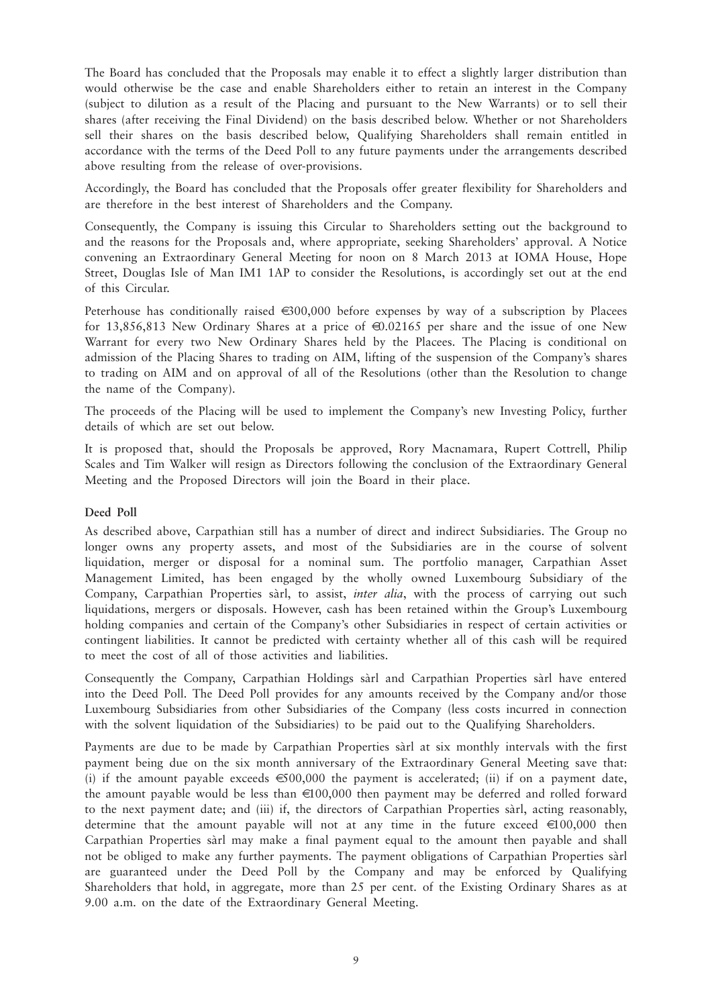The Board has concluded that the Proposals may enable it to effect a slightly larger distribution than would otherwise be the case and enable Shareholders either to retain an interest in the Company (subject to dilution as a result of the Placing and pursuant to the New Warrants) or to sell their shares (after receiving the Final Dividend) on the basis described below. Whether or not Shareholders sell their shares on the basis described below, Qualifying Shareholders shall remain entitled in accordance with the terms of the Deed Poll to any future payments under the arrangements described above resulting from the release of over-provisions.

Accordingly, the Board has concluded that the Proposals offer greater flexibility for Shareholders and are therefore in the best interest of Shareholders and the Company.

Consequently, the Company is issuing this Circular to Shareholders setting out the background to and the reasons for the Proposals and, where appropriate, seeking Shareholders' approval. A Notice convening an Extraordinary General Meeting for noon on 8 March 2013 at IOMA House, Hope Street, Douglas Isle of Man IM1 1AP to consider the Resolutions, is accordingly set out at the end of this Circular.

Peterhouse has conditionally raised  $\in 300,000$  before expenses by way of a subscription by Placees for 13,856,813 New Ordinary Shares at a price of €0.02165 per share and the issue of one New Warrant for every two New Ordinary Shares held by the Placees. The Placing is conditional on admission of the Placing Shares to trading on AIM, lifting of the suspension of the Company's shares to trading on AIM and on approval of all of the Resolutions (other than the Resolution to change the name of the Company).

The proceeds of the Placing will be used to implement the Company's new Investing Policy, further details of which are set out below.

It is proposed that, should the Proposals be approved, Rory Macnamara, Rupert Cottrell, Philip Scales and Tim Walker will resign as Directors following the conclusion of the Extraordinary General Meeting and the Proposed Directors will join the Board in their place.

#### **Deed Poll**

As described above, Carpathian still has a number of direct and indirect Subsidiaries. The Group no longer owns any property assets, and most of the Subsidiaries are in the course of solvent liquidation, merger or disposal for a nominal sum. The portfolio manager, Carpathian Asset Management Limited, has been engaged by the wholly owned Luxembourg Subsidiary of the Company, Carpathian Properties sàrl, to assist, *inter alia*, with the process of carrying out such liquidations, mergers or disposals. However, cash has been retained within the Group's Luxembourg holding companies and certain of the Company's other Subsidiaries in respect of certain activities or contingent liabilities. It cannot be predicted with certainty whether all of this cash will be required to meet the cost of all of those activities and liabilities.

Consequently the Company, Carpathian Holdings sàrl and Carpathian Properties sàrl have entered into the Deed Poll. The Deed Poll provides for any amounts received by the Company and/or those Luxembourg Subsidiaries from other Subsidiaries of the Company (less costs incurred in connection with the solvent liquidation of the Subsidiaries) to be paid out to the Qualifying Shareholders.

Payments are due to be made by Carpathian Properties sàrl at six monthly intervals with the first payment being due on the six month anniversary of the Extraordinary General Meeting save that: (i) if the amount payable exceeds  $\epsilon$ 500,000 the payment is accelerated; (ii) if on a payment date, the amount payable would be less than  $\in 100,000$  then payment may be deferred and rolled forward to the next payment date; and (iii) if, the directors of Carpathian Properties sàrl, acting reasonably, determine that the amount payable will not at any time in the future exceed  $\in 100,000$  then Carpathian Properties sàrl may make a final payment equal to the amount then payable and shall not be obliged to make any further payments. The payment obligations of Carpathian Properties sàrl are guaranteed under the Deed Poll by the Company and may be enforced by Qualifying Shareholders that hold, in aggregate, more than 25 per cent. of the Existing Ordinary Shares as at 9.00 a.m. on the date of the Extraordinary General Meeting.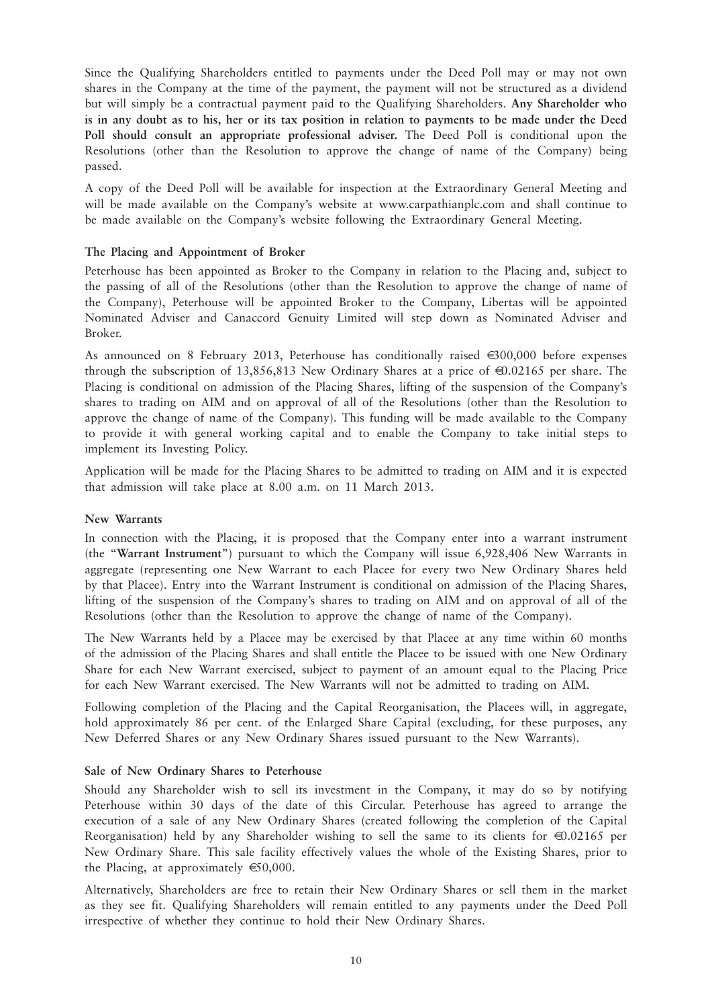Since the Qualifying Shareholders entitled to payments under the Deed Poll may or may not own shares in the Company at the time of the payment, the payment will not be structured as a dividend but will simply be a contractual payment paid to the Qualifying Shareholders. **Any Shareholder who is in any doubt as to his, her or its tax position in relation to payments to be made under the Deed Poll should consult an appropriate professional adviser.** The Deed Poll is conditional upon the Resolutions (other than the Resolution to approve the change of name of the Company) being passed.

A copy of the Deed Poll will be available for inspection at the Extraordinary General Meeting and will be made available on the Company's website at www.carpathianplc.com and shall continue to be made available on the Company's website following the Extraordinary General Meeting.

#### **The Placing and Appointment of Broker**

Peterhouse has been appointed as Broker to the Company in relation to the Placing and, subject to the passing of all of the Resolutions (other than the Resolution to approve the change of name of the Company), Peterhouse will be appointed Broker to the Company, Libertas will be appointed Nominated Adviser and Canaccord Genuity Limited will step down as Nominated Adviser and Broker.

As announced on 8 February 2013, Peterhouse has conditionally raised  $\epsilon$ 300,000 before expenses through the subscription of 13,856,813 New Ordinary Shares at a price of  $\bigoplus$ ,02165 per share. The Placing is conditional on admission of the Placing Shares, lifting of the suspension of the Company's shares to trading on AIM and on approval of all of the Resolutions (other than the Resolution to approve the change of name of the Company). This funding will be made available to the Company to provide it with general working capital and to enable the Company to take initial steps to implement its Investing Policy.

Application will be made for the Placing Shares to be admitted to trading on AIM and it is expected that admission will take place at 8.00 a.m. on 11 March 2013.

#### **New Warrants**

In connection with the Placing, it is proposed that the Company enter into a warrant instrument (the "**Warrant Instrument**") pursuant to which the Company will issue 6,928,406 New Warrants in aggregate (representing one New Warrant to each Placee for every two New Ordinary Shares held by that Placee). Entry into the Warrant Instrument is conditional on admission of the Placing Shares, lifting of the suspension of the Company's shares to trading on AIM and on approval of all of the Resolutions (other than the Resolution to approve the change of name of the Company).

The New Warrants held by a Placee may be exercised by that Placee at any time within 60 months of the admission of the Placing Shares and shall entitle the Placee to be issued with one New Ordinary Share for each New Warrant exercised, subject to payment of an amount equal to the Placing Price for each New Warrant exercised. The New Warrants will not be admitted to trading on AIM.

Following completion of the Placing and the Capital Reorganisation, the Placees will, in aggregate, hold approximately 86 per cent. of the Enlarged Share Capital (excluding, for these purposes, any New Deferred Shares or any New Ordinary Shares issued pursuant to the New Warrants).

#### **Sale of New Ordinary Shares to Peterhouse**

Should any Shareholder wish to sell its investment in the Company, it may do so by notifying Peterhouse within 30 days of the date of this Circular. Peterhouse has agreed to arrange the execution of a sale of any New Ordinary Shares (created following the completion of the Capital Reorganisation) held by any Shareholder wishing to sell the same to its clients for  $\text{\textcircled{0.02165}}$  per New Ordinary Share. This sale facility effectively values the whole of the Existing Shares, prior to the Placing, at approximately  $\epsilon$ 50,000.

Alternatively, Shareholders are free to retain their New Ordinary Shares or sell them in the market as they see fit. Qualifying Shareholders will remain entitled to any payments under the Deed Poll irrespective of whether they continue to hold their New Ordinary Shares.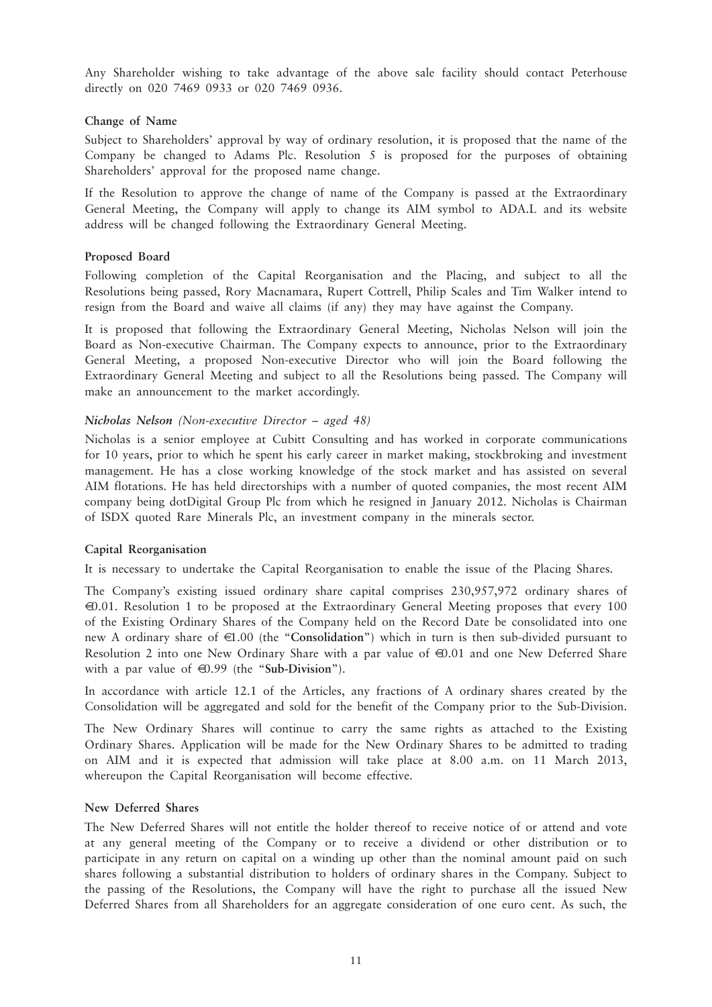Any Shareholder wishing to take advantage of the above sale facility should contact Peterhouse directly on 020 7469 0933 or 020 7469 0936.

#### **Change of Name**

Subject to Shareholders' approval by way of ordinary resolution, it is proposed that the name of the Company be changed to Adams Plc. Resolution 5 is proposed for the purposes of obtaining Shareholders' approval for the proposed name change.

If the Resolution to approve the change of name of the Company is passed at the Extraordinary General Meeting, the Company will apply to change its AIM symbol to ADA.L and its website address will be changed following the Extraordinary General Meeting.

#### **Proposed Board**

Following completion of the Capital Reorganisation and the Placing, and subject to all the Resolutions being passed, Rory Macnamara, Rupert Cottrell, Philip Scales and Tim Walker intend to resign from the Board and waive all claims (if any) they may have against the Company.

It is proposed that following the Extraordinary General Meeting, Nicholas Nelson will join the Board as Non-executive Chairman. The Company expects to announce, prior to the Extraordinary General Meeting, a proposed Non-executive Director who will join the Board following the Extraordinary General Meeting and subject to all the Resolutions being passed. The Company will make an announcement to the market accordingly.

#### *Nicholas Nelson (Non-executive Director – aged 48)*

Nicholas is a senior employee at Cubitt Consulting and has worked in corporate communications for 10 years, prior to which he spent his early career in market making, stockbroking and investment management. He has a close working knowledge of the stock market and has assisted on several AIM flotations. He has held directorships with a number of quoted companies, the most recent AIM company being dotDigital Group Plc from which he resigned in January 2012. Nicholas is Chairman of ISDX quoted Rare Minerals Plc, an investment company in the minerals sector.

#### **Capital Reorganisation**

It is necessary to undertake the Capital Reorganisation to enable the issue of the Placing Shares.

The Company's existing issued ordinary share capital comprises 230,957,972 ordinary shares of €0.01. Resolution 1 to be proposed at the Extraordinary General Meeting proposes that every 100 of the Existing Ordinary Shares of the Company held on the Record Date be consolidated into one new A ordinary share of €1.00 (the "**Consolidation**") which in turn is then sub-divided pursuant to Resolution 2 into one New Ordinary Share with a par value of  $\bigoplus$  0.01 and one New Deferred Share with a par value of €0.99 (the "**Sub-Division**").

In accordance with article 12.1 of the Articles, any fractions of A ordinary shares created by the Consolidation will be aggregated and sold for the benefit of the Company prior to the Sub-Division.

The New Ordinary Shares will continue to carry the same rights as attached to the Existing Ordinary Shares. Application will be made for the New Ordinary Shares to be admitted to trading on AIM and it is expected that admission will take place at 8.00 a.m. on 11 March 2013, whereupon the Capital Reorganisation will become effective.

#### **New Deferred Shares**

The New Deferred Shares will not entitle the holder thereof to receive notice of or attend and vote at any general meeting of the Company or to receive a dividend or other distribution or to participate in any return on capital on a winding up other than the nominal amount paid on such shares following a substantial distribution to holders of ordinary shares in the Company. Subject to the passing of the Resolutions, the Company will have the right to purchase all the issued New Deferred Shares from all Shareholders for an aggregate consideration of one euro cent. As such, the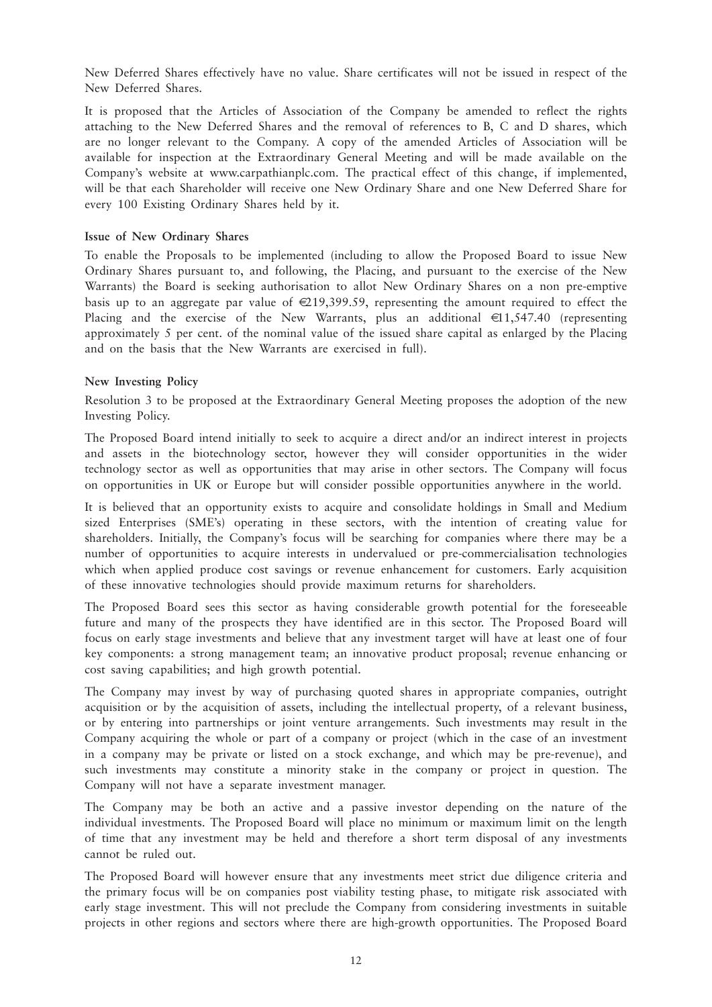New Deferred Shares effectively have no value. Share certificates will not be issued in respect of the New Deferred Shares.

It is proposed that the Articles of Association of the Company be amended to reflect the rights attaching to the New Deferred Shares and the removal of references to B, C and D shares, which are no longer relevant to the Company. A copy of the amended Articles of Association will be available for inspection at the Extraordinary General Meeting and will be made available on the Company's website at www.carpathianplc.com. The practical effect of this change, if implemented, will be that each Shareholder will receive one New Ordinary Share and one New Deferred Share for every 100 Existing Ordinary Shares held by it.

#### **Issue of New Ordinary Shares**

To enable the Proposals to be implemented (including to allow the Proposed Board to issue New Ordinary Shares pursuant to, and following, the Placing, and pursuant to the exercise of the New Warrants) the Board is seeking authorisation to allot New Ordinary Shares on a non pre-emptive basis up to an aggregate par value of  $\in 219,399.59$ , representing the amount required to effect the Placing and the exercise of the New Warrants, plus an additional  $\in$ 1,547.40 (representing approximately 5 per cent. of the nominal value of the issued share capital as enlarged by the Placing and on the basis that the New Warrants are exercised in full).

#### **New Investing Policy**

Resolution 3 to be proposed at the Extraordinary General Meeting proposes the adoption of the new Investing Policy.

The Proposed Board intend initially to seek to acquire a direct and/or an indirect interest in projects and assets in the biotechnology sector, however they will consider opportunities in the wider technology sector as well as opportunities that may arise in other sectors. The Company will focus on opportunities in UK or Europe but will consider possible opportunities anywhere in the world.

It is believed that an opportunity exists to acquire and consolidate holdings in Small and Medium sized Enterprises (SME's) operating in these sectors, with the intention of creating value for shareholders. Initially, the Company's focus will be searching for companies where there may be a number of opportunities to acquire interests in undervalued or pre-commercialisation technologies which when applied produce cost savings or revenue enhancement for customers. Early acquisition of these innovative technologies should provide maximum returns for shareholders.

The Proposed Board sees this sector as having considerable growth potential for the foreseeable future and many of the prospects they have identified are in this sector. The Proposed Board will focus on early stage investments and believe that any investment target will have at least one of four key components: a strong management team; an innovative product proposal; revenue enhancing or cost saving capabilities; and high growth potential.

The Company may invest by way of purchasing quoted shares in appropriate companies, outright acquisition or by the acquisition of assets, including the intellectual property, of a relevant business, or by entering into partnerships or joint venture arrangements. Such investments may result in the Company acquiring the whole or part of a company or project (which in the case of an investment in a company may be private or listed on a stock exchange, and which may be pre-revenue), and such investments may constitute a minority stake in the company or project in question. The Company will not have a separate investment manager.

The Company may be both an active and a passive investor depending on the nature of the individual investments. The Proposed Board will place no minimum or maximum limit on the length of time that any investment may be held and therefore a short term disposal of any investments cannot be ruled out.

The Proposed Board will however ensure that any investments meet strict due diligence criteria and the primary focus will be on companies post viability testing phase, to mitigate risk associated with early stage investment. This will not preclude the Company from considering investments in suitable projects in other regions and sectors where there are high-growth opportunities. The Proposed Board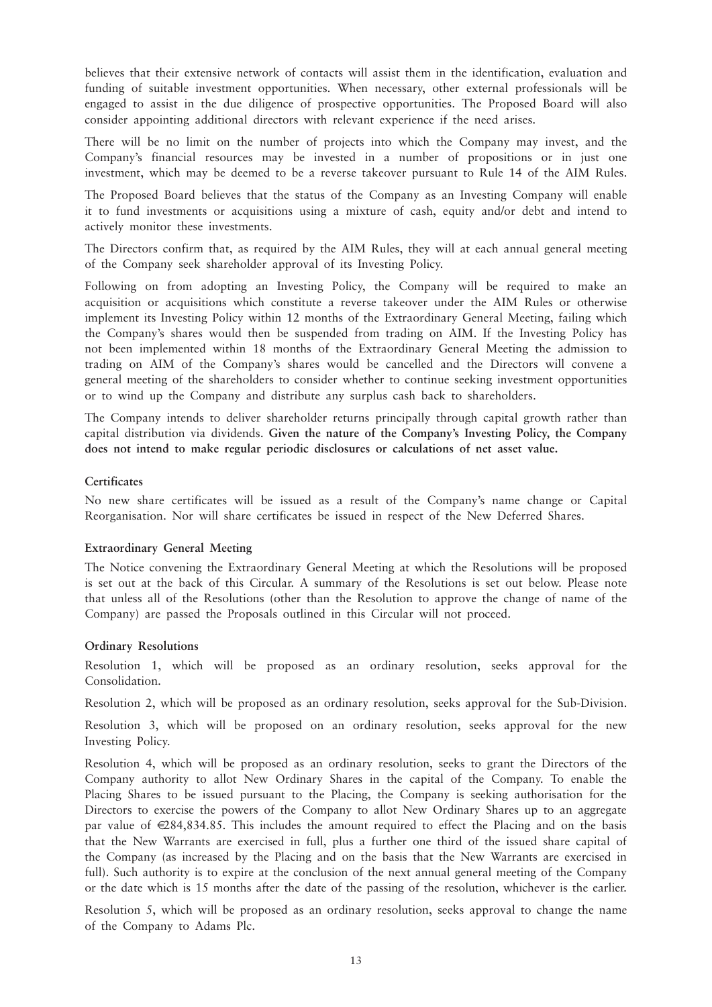believes that their extensive network of contacts will assist them in the identification, evaluation and funding of suitable investment opportunities. When necessary, other external professionals will be engaged to assist in the due diligence of prospective opportunities. The Proposed Board will also consider appointing additional directors with relevant experience if the need arises.

There will be no limit on the number of projects into which the Company may invest, and the Company's financial resources may be invested in a number of propositions or in just one investment, which may be deemed to be a reverse takeover pursuant to Rule 14 of the AIM Rules.

The Proposed Board believes that the status of the Company as an Investing Company will enable it to fund investments or acquisitions using a mixture of cash, equity and/or debt and intend to actively monitor these investments.

The Directors confirm that, as required by the AIM Rules, they will at each annual general meeting of the Company seek shareholder approval of its Investing Policy.

Following on from adopting an Investing Policy, the Company will be required to make an acquisition or acquisitions which constitute a reverse takeover under the AIM Rules or otherwise implement its Investing Policy within 12 months of the Extraordinary General Meeting, failing which the Company's shares would then be suspended from trading on AIM. If the Investing Policy has not been implemented within 18 months of the Extraordinary General Meeting the admission to trading on AIM of the Company's shares would be cancelled and the Directors will convene a general meeting of the shareholders to consider whether to continue seeking investment opportunities or to wind up the Company and distribute any surplus cash back to shareholders.

The Company intends to deliver shareholder returns principally through capital growth rather than capital distribution via dividends. **Given the nature of the Company's Investing Policy, the Company does not intend to make regular periodic disclosures or calculations of net asset value.**

#### **Certificates**

No new share certificates will be issued as a result of the Company's name change or Capital Reorganisation. Nor will share certificates be issued in respect of the New Deferred Shares.

#### **Extraordinary General Meeting**

The Notice convening the Extraordinary General Meeting at which the Resolutions will be proposed is set out at the back of this Circular. A summary of the Resolutions is set out below. Please note that unless all of the Resolutions (other than the Resolution to approve the change of name of the Company) are passed the Proposals outlined in this Circular will not proceed.

#### **Ordinary Resolutions**

Resolution 1, which will be proposed as an ordinary resolution, seeks approval for the Consolidation.

Resolution 2, which will be proposed as an ordinary resolution, seeks approval for the Sub-Division.

Resolution 3, which will be proposed on an ordinary resolution, seeks approval for the new Investing Policy.

Resolution 4, which will be proposed as an ordinary resolution, seeks to grant the Directors of the Company authority to allot New Ordinary Shares in the capital of the Company. To enable the Placing Shares to be issued pursuant to the Placing, the Company is seeking authorisation for the Directors to exercise the powers of the Company to allot New Ordinary Shares up to an aggregate par value of €284,834.85. This includes the amount required to effect the Placing and on the basis that the New Warrants are exercised in full, plus a further one third of the issued share capital of the Company (as increased by the Placing and on the basis that the New Warrants are exercised in full). Such authority is to expire at the conclusion of the next annual general meeting of the Company or the date which is 15 months after the date of the passing of the resolution, whichever is the earlier.

Resolution 5, which will be proposed as an ordinary resolution, seeks approval to change the name of the Company to Adams Plc.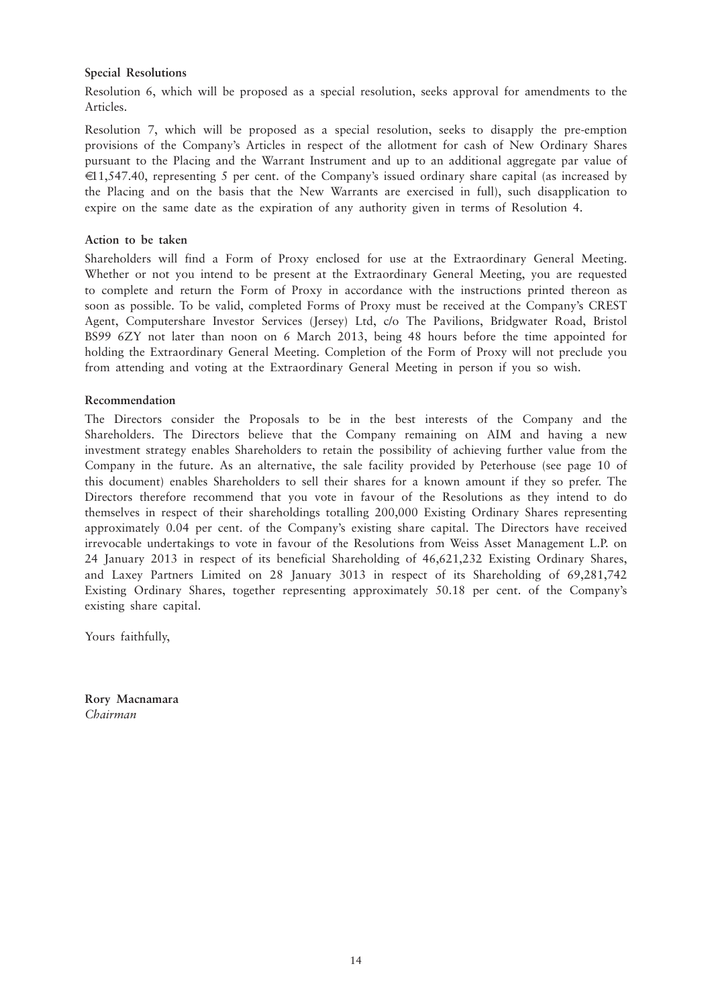#### **Special Resolutions**

Resolution 6, which will be proposed as a special resolution, seeks approval for amendments to the Articles.

Resolution 7, which will be proposed as a special resolution, seeks to disapply the pre-emption provisions of the Company's Articles in respect of the allotment for cash of New Ordinary Shares pursuant to the Placing and the Warrant Instrument and up to an additional aggregate par value of €11,547.40, representing 5 per cent. of the Company's issued ordinary share capital (as increased by the Placing and on the basis that the New Warrants are exercised in full), such disapplication to expire on the same date as the expiration of any authority given in terms of Resolution 4.

#### **Action to be taken**

Shareholders will find a Form of Proxy enclosed for use at the Extraordinary General Meeting. Whether or not you intend to be present at the Extraordinary General Meeting, you are requested to complete and return the Form of Proxy in accordance with the instructions printed thereon as soon as possible. To be valid, completed Forms of Proxy must be received at the Company's CREST Agent, Computershare Investor Services (Jersey) Ltd, c/o The Pavilions, Bridgwater Road, Bristol BS99 6ZY not later than noon on 6 March 2013, being 48 hours before the time appointed for holding the Extraordinary General Meeting. Completion of the Form of Proxy will not preclude you from attending and voting at the Extraordinary General Meeting in person if you so wish.

#### **Recommendation**

The Directors consider the Proposals to be in the best interests of the Company and the Shareholders. The Directors believe that the Company remaining on AIM and having a new investment strategy enables Shareholders to retain the possibility of achieving further value from the Company in the future. As an alternative, the sale facility provided by Peterhouse (see page 10 of this document) enables Shareholders to sell their shares for a known amount if they so prefer. The Directors therefore recommend that you vote in favour of the Resolutions as they intend to do themselves in respect of their shareholdings totalling 200,000 Existing Ordinary Shares representing approximately 0.04 per cent. of the Company's existing share capital. The Directors have received irrevocable undertakings to vote in favour of the Resolutions from Weiss Asset Management L.P. on 24 January 2013 in respect of its beneficial Shareholding of 46,621,232 Existing Ordinary Shares, and Laxey Partners Limited on 28 January 3013 in respect of its Shareholding of 69,281,742 Existing Ordinary Shares, together representing approximately 50.18 per cent. of the Company's existing share capital.

Yours faithfully,

**Rory Macnamara** *Chairman*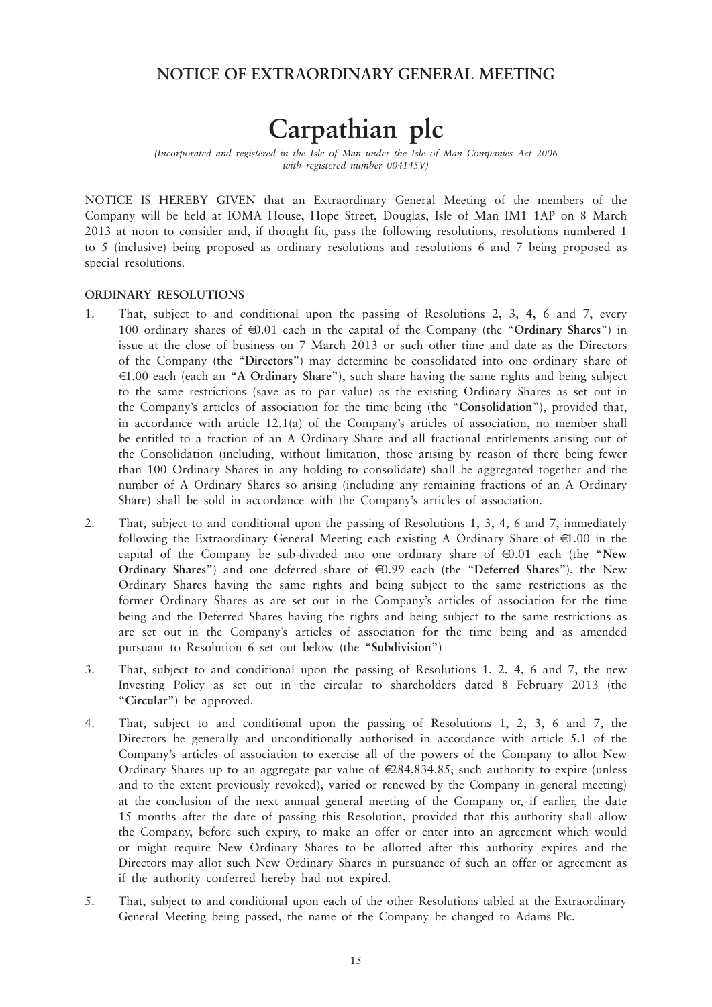### **NOTICE OF EXTRAORDINARY GENERAL MEETING**

## **Carpathian plc**

*(Incorporated and registered in the Isle of Man under the Isle of Man Companies Act 2006 with registered number 004145V)*

NOTICE IS HEREBY GIVEN that an Extraordinary General Meeting of the members of the Company will be held at IOMA House, Hope Street, Douglas, Isle of Man IM1 1AP on 8 March 2013 at noon to consider and, if thought fit, pass the following resolutions, resolutions numbered 1 to 5 (inclusive) being proposed as ordinary resolutions and resolutions 6 and 7 being proposed as special resolutions.

#### **ORDINARY RESOLUTIONS**

- 1. That, subject to and conditional upon the passing of Resolutions 2, 3, 4, 6 and 7, every 100 ordinary shares of €0.01 each in the capital of the Company (the "**Ordinary Shares**") in issue at the close of business on 7 March 2013 or such other time and date as the Directors of the Company (the "**Directors**") may determine be consolidated into one ordinary share of €1.00 each (each an "**A Ordinary Share**"), such share having the same rights and being subject to the same restrictions (save as to par value) as the existing Ordinary Shares as set out in the Company's articles of association for the time being (the "**Consolidation**"), provided that, in accordance with article 12.1(a) of the Company's articles of association, no member shall be entitled to a fraction of an A Ordinary Share and all fractional entitlements arising out of the Consolidation (including, without limitation, those arising by reason of there being fewer than 100 Ordinary Shares in any holding to consolidate) shall be aggregated together and the number of A Ordinary Shares so arising (including any remaining fractions of an A Ordinary Share) shall be sold in accordance with the Company's articles of association.
- 2. That, subject to and conditional upon the passing of Resolutions 1, 3, 4, 6 and 7, immediately following the Extraordinary General Meeting each existing A Ordinary Share of  $\in 1.00$  in the capital of the Company be sub-divided into one ordinary share of €0.01 each (the "**New Ordinary Shares**") and one deferred share of €0.99 each (the "Deferred Shares"), the New Ordinary Shares having the same rights and being subject to the same restrictions as the former Ordinary Shares as are set out in the Company's articles of association for the time being and the Deferred Shares having the rights and being subject to the same restrictions as are set out in the Company's articles of association for the time being and as amended pursuant to Resolution 6 set out below (the "**Subdivision**")
- 3. That, subject to and conditional upon the passing of Resolutions 1, 2, 4, 6 and 7, the new Investing Policy as set out in the circular to shareholders dated 8 February 2013 (the "**Circular**") be approved.
- 4. That, subject to and conditional upon the passing of Resolutions 1, 2, 3, 6 and 7, the Directors be generally and unconditionally authorised in accordance with article 5.1 of the Company's articles of association to exercise all of the powers of the Company to allot New Ordinary Shares up to an aggregate par value of  $\in \{284, 834.85\}$ ; such authority to expire (unless and to the extent previously revoked), varied or renewed by the Company in general meeting) at the conclusion of the next annual general meeting of the Company or, if earlier, the date 15 months after the date of passing this Resolution, provided that this authority shall allow the Company, before such expiry, to make an offer or enter into an agreement which would or might require New Ordinary Shares to be allotted after this authority expires and the Directors may allot such New Ordinary Shares in pursuance of such an offer or agreement as if the authority conferred hereby had not expired.
- 5. That, subject to and conditional upon each of the other Resolutions tabled at the Extraordinary General Meeting being passed, the name of the Company be changed to Adams Plc.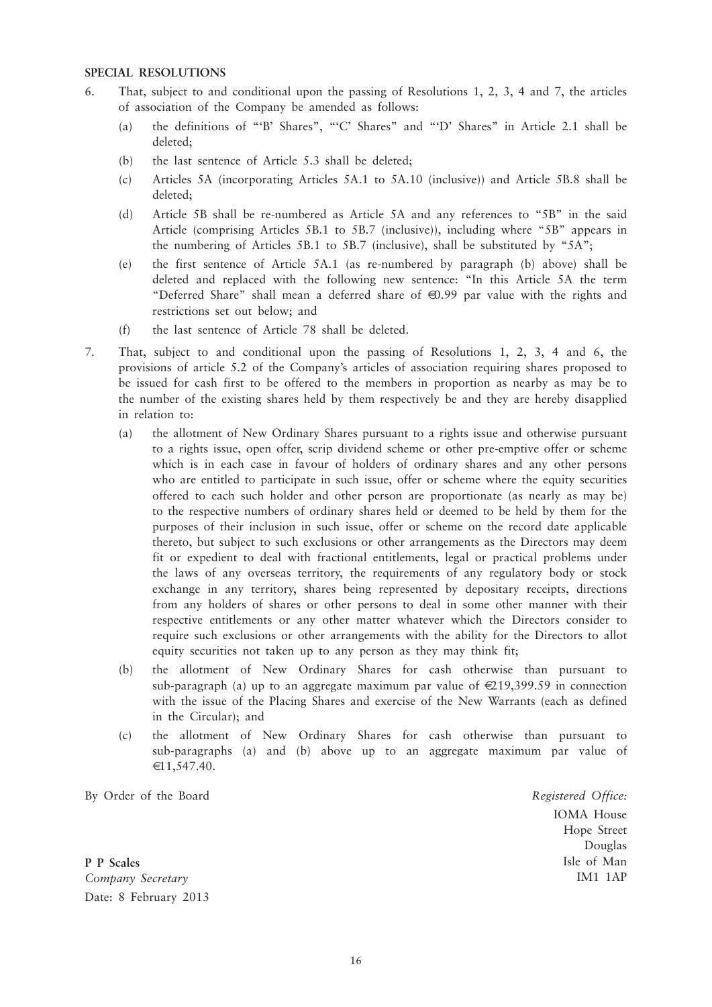#### **SPECIAL RESOLUTIONS**

- 6. That, subject to and conditional upon the passing of Resolutions 1, 2, 3, 4 and 7, the articles of association of the Company be amended as follows:
	- (a) the definitions of "'B' Shares", "'C' Shares" and "'D' Shares" in Article 2.1 shall be deleted;
	- (b) the last sentence of Article 5.3 shall be deleted;
	- (c) Articles 5A (incorporating Articles 5A.1 to 5A.10 (inclusive)) and Article 5B.8 shall be deleted;
	- (d) Article 5B shall be re-numbered as Article 5A and any references to "5B" in the said Article (comprising Articles 5B.1 to 5B.7 (inclusive)), including where "5B" appears in the numbering of Articles 5B.1 to 5B.7 (inclusive), shall be substituted by "5A";
	- (e) the first sentence of Article 5A.1 (as re-numbered by paragraph (b) above) shall be deleted and replaced with the following new sentence: "In this Article 5A the term "Deferred Share" shall mean a deferred share of €0.99 par value with the rights and restrictions set out below; and
	- (f) the last sentence of Article 78 shall be deleted.
- 7. That, subject to and conditional upon the passing of Resolutions 1, 2, 3, 4 and 6, the provisions of article 5.2 of the Company's articles of association requiring shares proposed to be issued for cash first to be offered to the members in proportion as nearby as may be to the number of the existing shares held by them respectively be and they are hereby disapplied in relation to:
	- (a) the allotment of New Ordinary Shares pursuant to a rights issue and otherwise pursuant to a rights issue, open offer, scrip dividend scheme or other pre-emptive offer or scheme which is in each case in favour of holders of ordinary shares and any other persons who are entitled to participate in such issue, offer or scheme where the equity securities offered to each such holder and other person are proportionate (as nearly as may be) to the respective numbers of ordinary shares held or deemed to be held by them for the purposes of their inclusion in such issue, offer or scheme on the record date applicable thereto, but subject to such exclusions or other arrangements as the Directors may deem fit or expedient to deal with fractional entitlements, legal or practical problems under the laws of any overseas territory, the requirements of any regulatory body or stock exchange in any territory, shares being represented by depositary receipts, directions from any holders of shares or other persons to deal in some other manner with their respective entitlements or any other matter whatever which the Directors consider to require such exclusions or other arrangements with the ability for the Directors to allot equity securities not taken up to any person as they may think fit;
	- (b) the allotment of New Ordinary Shares for cash otherwise than pursuant to sub-paragraph (a) up to an aggregate maximum par value of  $\in 219,399.59$  in connection with the issue of the Placing Shares and exercise of the New Warrants (each as defined in the Circular); and
	- (c) the allotment of New Ordinary Shares for cash otherwise than pursuant to sub-paragraphs (a) and (b) above up to an aggregate maximum par value of €11,547.40.

By Order of the Board

*Registered Office:* IOMA House Hope Street Douglas Isle of Man IM1 1AP

**P P Scales** *Company Secretary* Date: 8 February 2013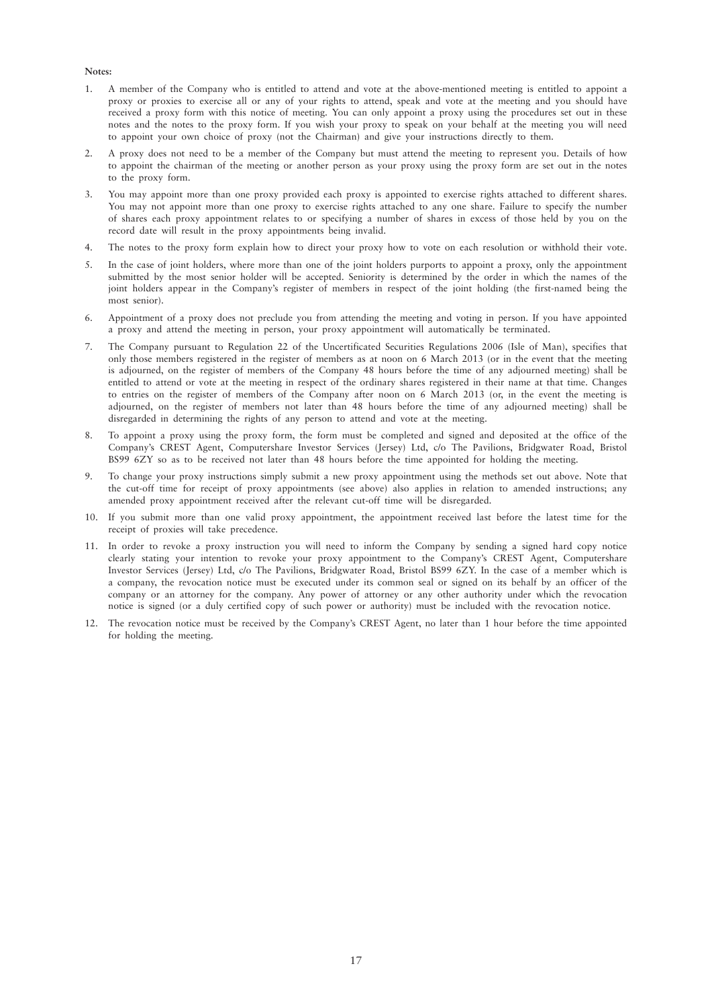#### **Notes:**

- 1. A member of the Company who is entitled to attend and vote at the above-mentioned meeting is entitled to appoint a proxy or proxies to exercise all or any of your rights to attend, speak and vote at the meeting and you should have received a proxy form with this notice of meeting. You can only appoint a proxy using the procedures set out in these notes and the notes to the proxy form. If you wish your proxy to speak on your behalf at the meeting you will need to appoint your own choice of proxy (not the Chairman) and give your instructions directly to them.
- 2. A proxy does not need to be a member of the Company but must attend the meeting to represent you. Details of how to appoint the chairman of the meeting or another person as your proxy using the proxy form are set out in the notes to the proxy form.
- 3. You may appoint more than one proxy provided each proxy is appointed to exercise rights attached to different shares. You may not appoint more than one proxy to exercise rights attached to any one share. Failure to specify the number of shares each proxy appointment relates to or specifying a number of shares in excess of those held by you on the record date will result in the proxy appointments being invalid.
- 4. The notes to the proxy form explain how to direct your proxy how to vote on each resolution or withhold their vote.
- 5. In the case of joint holders, where more than one of the joint holders purports to appoint a proxy, only the appointment submitted by the most senior holder will be accepted. Seniority is determined by the order in which the names of the joint holders appear in the Company's register of members in respect of the joint holding (the first-named being the most senior).
- 6. Appointment of a proxy does not preclude you from attending the meeting and voting in person. If you have appointed a proxy and attend the meeting in person, your proxy appointment will automatically be terminated.
- 7. The Company pursuant to Regulation 22 of the Uncertificated Securities Regulations 2006 (Isle of Man), specifies that only those members registered in the register of members as at noon on 6 March 2013 (or in the event that the meeting is adjourned, on the register of members of the Company 48 hours before the time of any adjourned meeting) shall be entitled to attend or vote at the meeting in respect of the ordinary shares registered in their name at that time. Changes to entries on the register of members of the Company after noon on 6 March 2013 (or, in the event the meeting is adjourned, on the register of members not later than 48 hours before the time of any adjourned meeting) shall be disregarded in determining the rights of any person to attend and vote at the meeting.
- 8. To appoint a proxy using the proxy form, the form must be completed and signed and deposited at the office of the Company's CREST Agent, Computershare Investor Services (Jersey) Ltd, c/o The Pavilions, Bridgwater Road, Bristol BS99 6ZY so as to be received not later than 48 hours before the time appointed for holding the meeting.
- 9. To change your proxy instructions simply submit a new proxy appointment using the methods set out above. Note that the cut-off time for receipt of proxy appointments (see above) also applies in relation to amended instructions; any amended proxy appointment received after the relevant cut-off time will be disregarded.
- 10. If you submit more than one valid proxy appointment, the appointment received last before the latest time for the receipt of proxies will take precedence.
- 11. In order to revoke a proxy instruction you will need to inform the Company by sending a signed hard copy notice clearly stating your intention to revoke your proxy appointment to the Company's CREST Agent, Computershare Investor Services (Jersey) Ltd, c/o The Pavilions, Bridgwater Road, Bristol BS99 6ZY. In the case of a member which is a company, the revocation notice must be executed under its common seal or signed on its behalf by an officer of the company or an attorney for the company. Any power of attorney or any other authority under which the revocation notice is signed (or a duly certified copy of such power or authority) must be included with the revocation notice.
- 12. The revocation notice must be received by the Company's CREST Agent, no later than 1 hour before the time appointed for holding the meeting.